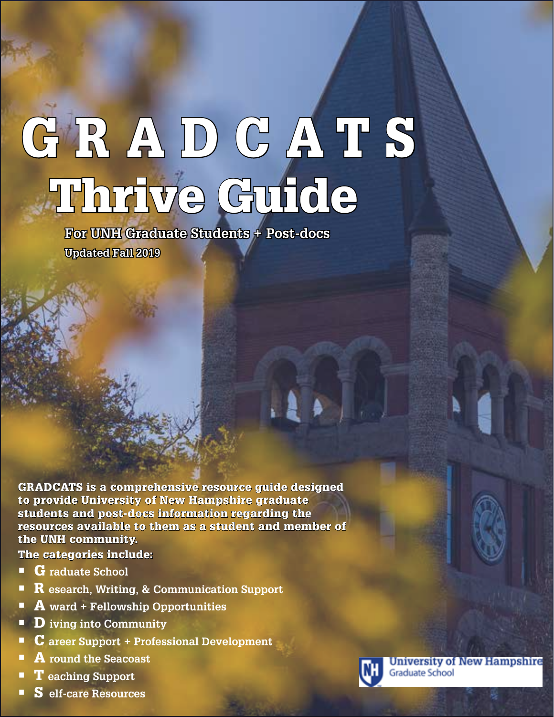# GRADCATS Thrive Guide

**For UNH Graduate Students + Post-docs Updated Fall 2019**

GRADCATS is a comprehensive resource guide designed to provide University of New Hampshire graduate students and post-docs information regarding the resources available to them as a student and member of the UNH community.

The categories include:

- G **raduate School**
- R **esearch, Writing, & Communication Support**
- A **ward + Fellowship Opportunities**
- D **iving into Community**
- C **areer Support + Professional Development**
- A **round the Seacoast**
- T **eaching Support**
- S **elf-care Resources**



**University of New Hampshire Graduate School**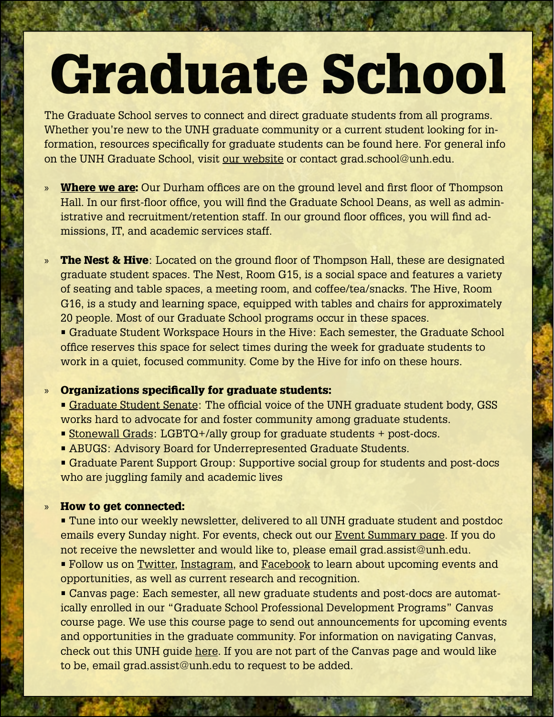# Graduate School

The Graduate School serves to connect and direct graduate students from all programs. Whether you're new to the UNH graduate community or a current student looking for information, resources specifically for graduate students can be found here. For general info on the UNH Graduate School, visit [our website](https://gradschool.unh.edu/who-we-are) or contact grad.school@unh.edu.

» [Where we are:](https://gradschool.unh.edu/who-we-are/contact-us) Our Durham offices are on the ground level and first floor of Thompson Hall. In our first-floor office, you will find the Graduate School Deans, as well as administrative and recruitment/retention staff. In our ground floor offices, you will find admissions, IT, and academic services staff.

» The Nest & Hive: Located on the ground floor of Thompson Hall, these are designated graduate student spaces. The Nest, Room G15, is a social space and features a variety of seating and table spaces, a meeting room, and coffee/tea/snacks. The Hive, Room G16, is a study and learning space, equipped with tables and chairs for approximately 20 people. Most of our Graduate School programs occur in these spaces.

• Graduate Student Workspace Hours in the Hive: Each semester, the Graduate School office reserves this space for select times during the week for graduate students to work in a quiet, focused community. Come by the Hive for info on these hours.

### » Organizations specifically for graduate students:

- [Graduate Student Senate:](https://www.unh.edu/gss) The official voice of the UNH graduate student body, GSS works hard to advocate for and foster community among graduate students.
- [Stonewall Grads](https://wildcatlink.unh.edu/organization/StonewallGrads): LGBTQ+/ally group for graduate students + post-docs.
- ABUGS: Advisory Board for Underrepresented Graduate Students.
- Graduate Parent Support Group: Supportive social group for students and post-docs who are juggling family and academic lives

### » How to get connected:

• Tune into our weekly newsletter, delivered to all UNH graduate student and postdoc emails every Sunday night. For events, check out our [Event Summary page.](https://gradschool.unh.edu/php/reg_events.php) If you do not receive the newsletter and would like to, please email grad.assist@unh.edu.

• Follow us on [Twitter](https://twitter.com/unh_gradschool?lang=en), [Instagram,](https://www.instagram.com/unhgraduateschool/?hl=en) and [Facebook](https://www.facebook.com/UNHGraduateSchool/) to learn about upcoming events and opportunities, as well as current research and recognition.

• Canvas page: Each semester, all new graduate students and post-docs are automatically enrolled in our "Graduate School Professional Development Programs" Canvas course page. We use this course page to send out announcements for upcoming events and opportunities in the graduate community. For information on navigating Canvas, check out this UNH guide [here](https://td.unh.edu/TDClient/KB/ArticleDet?ID=1278). If you are not part of the Canvas page and would like to be, email grad.assist@unh.edu to request to be added.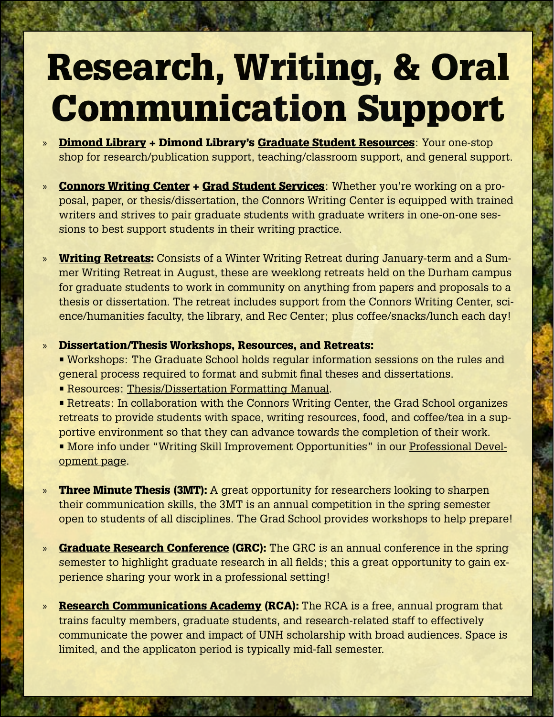### Research, Writing, & Oral Communication Support

- » [Dimond Library](https://www.library.unh.edu/) + Dimond Library's [Graduate Student Resources](https://www.library.unh.edu/graduate-students): Your one-stop shop for research/publication support, teaching/classroom support, and general support.
- » [Connors Writing Center](https://www.unh.edu/writing/cwc) + [Grad Student Services](https://www.unh.edu/writing/writing-conferences-students): Whether you're working on a proposal, paper, or thesis/dissertation, the Connors Writing Center is equipped with trained writers and strives to pair graduate students with graduate writers in one-on-one sessions to best support students in their writing practice.
- » **[Writing Retreats:](https://www.unh.edu/unhtoday/2018/12/registration-open-5th-live-free-or-die-writing-boot-camp)** Consists of a Winter Writing Retreat during January-term and a Summer Writing Retreat in August, these are weeklong retreats held on the Durham campus for graduate students to work in community on anything from papers and proposals to a thesis or dissertation. The retreat includes support from the Connors Writing Center, science/humanities faculty, the library, and Rec Center; plus coffee/snacks/lunch each day!
- » Dissertation/Thesis Workshops, Resources, and Retreats:
	- Workshops: The Graduate School holds regular information sessions on the rules and general process required to format and submit final theses and dissertations.
	- Resources: [Thesis/Dissertation Formatting Manual.](https://unh.app.box.com/v/thesis-manual)
	- Retreats: In collaboration with the Connors Writing Center, the Grad School organizes retreats to provide students with space, writing resources, food, and coffee/tea in a supportive environment so that they can advance towards the completion of their work. • More info under "Writing Skill Improvement Opportunities" in our [Professional Devel](https://gradschool.unh.edu/graduate-student-resources/events-professional-development)[opment page.](https://gradschool.unh.edu/graduate-student-resources/events-professional-development)
- » [Three Minute Thesis](https://gradschool.unh.edu/research/graduate-research-conference/3-minute-thesis-3mt-competition) (3MT): A great opportunity for researchers looking to sharpen their communication skills, the 3MT is an annual competition in the spring semester open to students of all disciplines. The Grad School provides workshops to help prepare!
- » [Graduate Research Conference](https://gradschool.unh.edu/research/graduate-research-conference/graduate-research-conference-registration) (GRC): The GRC is an annual conference in the spring semester to highlight graduate research in all fields; this a great opportunity to gain experience sharing your work in a professional setting!
- » **[Research Communications Academy](https://www.unh.edu/research/grant-seeking-workshops-and-programs/research-communications-academy) (RCA):** The RCA is a free, annual program that trains faculty members, graduate students, and research-related staff to effectively communicate the power and impact of UNH scholarship with broad audiences. Space is limited, and the applicaton period is typically mid-fall semester.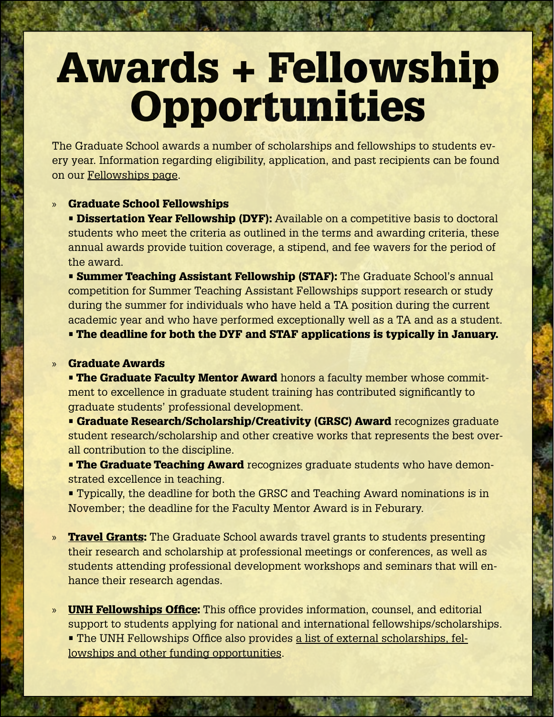### Awards + Fellowship Opportunities

The Graduate School awards a number of scholarships and fellowships to students every year. Information regarding eligibility, application, and past recipients can be found on our [Fellowships page](https://gradschool.unh.edu/research/fellowships-awards).

#### » Graduate School Fellowships

**· Dissertation Year Fellowship (DYF):** Available on a competitive basis to doctoral students who meet the criteria as outlined in the terms and awarding criteria, these annual awards provide tuition coverage, a stipend, and fee wavers for the period of the award.

• Summer Teaching Assistant Fellowship (STAF): The Graduate School's annual competition for Summer Teaching Assistant Fellowships support research or study during the summer for individuals who have held a TA position during the current academic year and who have performed exceptionally well as a TA and as a student.

• The deadline for both the DYF and STAF applications is typically in January.

### » Graduate Awards

**• The Graduate Faculty Mentor Award** honors a faculty member whose commitment to excellence in graduate student training has contributed significantly to graduate students' professional development.

• Graduate Research/Scholarship/Creativity (GRSC) Award recognizes graduate student research/scholarship and other creative works that represents the best overall contribution to the discipline.

**• The Graduate Teaching Award** recognizes graduate students who have demonstrated excellence in teaching.

• Typically, the deadline for both the GRSC and Teaching Award nominations is in November; the deadline for the Faculty Mentor Award is in Feburary.

- » [Travel Grants](https://gradschool.unh.edu/admissions/financial): The Graduate School awards travel grants to students presenting their research and scholarship at professional meetings or conferences, as well as students attending professional development workshops and seminars that will enhance their research agendas.
- [UNH Fellowships Office](https://www.unh.edu/fellowships-office/): This office provides information, counsel, and editorial support to students applying for national and international fellowships/scholarships. • The UNH Fellowships Office also provides [a list of external scholarships, fel](https://www.unh.edu/fellowships-office/scholarships-available)[lowships and other funding opportunities](https://www.unh.edu/fellowships-office/scholarships-available).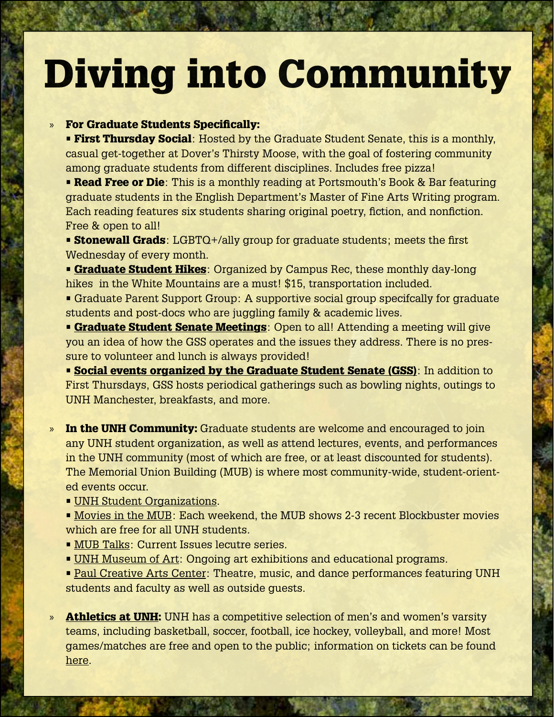### Diving into Community

### » For Graduate Students Specifically:

**• First Thursday Social**: Hosted by the Graduate Student Senate, this is a monthly, casual get-together at Dover's Thirsty Moose, with the goal of fostering community among graduate students from different disciplines. Includes free pizza!

**• Read Free or Die**: This is a monthly reading at Portsmouth's Book & Bar featuring graduate students in the English Department's Master of Fine Arts Writing program. Each reading features six students sharing original poetry, fiction, and nonfiction. Free & open to all!

**• Stonewall Grads**: LGBTQ+/ally group for graduate students; meets the first Wednesday of every month.

**• [Graduate Student Hikes](https://campusrec.unh.edu/outdoor-adventures)**: Organized by Campus Rec, these monthly day-long hikes in the White Mountains are a must! \$15, transportation included.

• Graduate Parent Support Group: A supportive social group specifcally for graduate students and post-docs who are juggling family & academic lives.

**• [Graduate Student Senate Meetings](https://www.unh.edu/gss/upcoming-meetings-events):** Open to all! Attending a meeting will give you an idea of how the GSS operates and the issues they address. There is no pressure to volunteer and lunch is always provided!

**• [Social events organized by the Graduate Student Senate \(GSS\)](https://www.unh.edu/gss/upcoming-meetings-events)**: In addition to First Thursdays, GSS hosts periodical gatherings such as bowling nights, outings to UNH Manchester, breakfasts, and more.

- » In the UNH Community: Graduate students are welcome and encouraged to join any UNH student organization, as well as attend lectures, events, and performances in the UNH community (most of which are free, or at least discounted for students). The Memorial Union Building (MUB) is where most community-wide, student-oriented events occur.
	- **[UNH Student Organizations.](https://www.unh.edu/mub/directory-recognized-student-organizations)**
	- [Movies in the MUB](https://www.unh.edu/mub/mub-movie-theaters): Each weekend, the MUB shows 2-3 recent Blockbuster movies which are free for all UNH students.
	- [MUB Talks:](https://www.unh.edu/mub/mub-talks) Current Issues lecutre series.
	- [UNH Museum of Art:](https://cola.unh.edu/museum-art) Ongoing art exhibitions and educational programs.
	- [Paul Creative Arts Center:](https://cola.unh.edu/paul-creative-arts-center) Theatre, music, and dance performances featuring UNH students and faculty as well as outside guests.
- » **[Athletics at UNH](https://unhwildcats.com/index.aspx):** UNH has a competitive selection of men's and women's varsity teams, including basketball, soccer, football, ice hockey, volleyball, and more! Most games/matches are free and open to the public; information on tickets can be found [here](https://unhwildcats.com/sports/2019/9/12/Tickets-2019-20.aspx).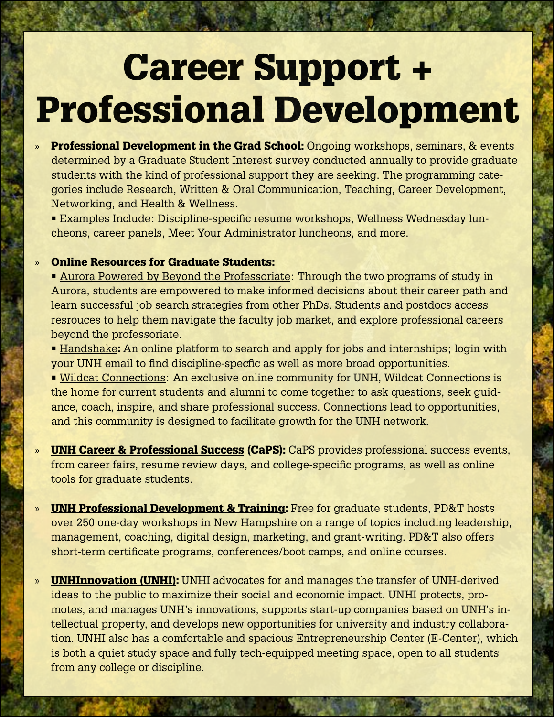### Career Support + Professional Development

- » [Professional Development in the Grad School:](https://gradschool.unh.edu/graduate-student-resources/events-professional-development) Ongoing workshops, seminars, & events determined by a Graduate Student Interest survey conducted annually to provide graduate students with the kind of professional support they are seeking. The programming categories include Research, Written & Oral Communication, Teaching, Career Development, Networking, and Health & Wellness.
	- Examples Include: Discipline-specific resume workshops, Wellness Wednesday luncheons, career panels, Meet Your Administrator luncheons, and more.

### » Online Resources for Graduate Students:

- [Aurora Powered by Beyond the Professoriate](https://beyondprof.com/): Through the two programs of study in Aurora, students are empowered to make informed decisions about their career path and learn successful job search strategies from other PhDs. Students and postdocs access resrouces to help them navigate the faculty job market, and explore professional careers beyond the professoriate.
- [Handshake](https://www.unh.edu/career/handshake): An online platform to search and apply for jobs and internships; login with your UNH email to find discipline-specfic as well as more broad opportunities.
- [Wildcat Connections](https://wildcatconnections.unh.edu/): An exclusive online community for UNH, Wildcat Connections is the home for current students and alumni to come together to ask questions, seek guidance, coach, inspire, and share professional success. Connections lead to opportunities, and this community is designed to facilitate growth for the UNH network.
- » **[UNH Career & Professional Success](https://www.unh.edu/career/) (CaPS):** CaPS provides professional success events, from career fairs, resume review days, and college-specific programs, as well as online tools for graduate students.
- » [UNH Professional Development & Training:](https://training.unh.edu/) Free for graduate students, PD&T hosts over 250 one-day workshops in New Hampshire on a range of topics including leadership, management, coaching, digital design, marketing, and grant-writing. PD&T also offers short-term certificate programs, conferences/boot camps, and online courses.
- » **[UNHInnovation \(UNHI\):](https://innovation.unh.edu/)** UNHI advocates for and manages the transfer of UNH-derived ideas to the public to maximize their social and economic impact. UNHI protects, promotes, and manages UNH's innovations, supports start-up companies based on UNH's intellectual property, and develops new opportunities for university and industry collaboration. UNHI also has a comfortable and spacious Entrepreneurship Center (E-Center), which is both a quiet study space and fully tech-equipped meeting space, open to all students from any college or discipline.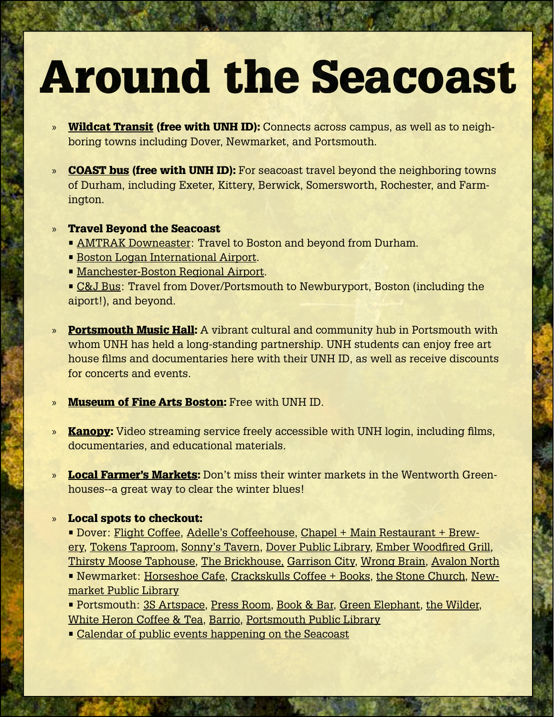## Around the Seacoast

- » [Wildcat Transit](https://www.unh.edu/transportation/wildcat-transit) (free with UNH ID): Connects across campus, as well as to neighboring towns including Dover, Newmarket, and Portsmouth.
- » **[COAST bus](https://coastbus.org/) (free with UNH ID):** For seacoast travel beyond the neighboring towns of Durham, including Exeter, Kittery, Berwick, Somersworth, Rochester, and Farmington.
- » Travel Beyond the Seacoast
	- **[AMTRAK Downeaster:](https://amtrakdowneaster.com/) Travel to Boston and beyond from Durham.**
	- [Boston Logan International Airport](http://www.massport.com/logan-airport/).
	- [Manchester-Boston Regional Airport.](https://www.flymanchester.com/)
	- [C&J Bus:](https://www.ridecj.com/) Travel from Dover/Portsmouth to Newburyport, Boston (including the aiport!), and beyond.
- **[Portsmouth Music Hall](https://www.themusichall.org/):** A vibrant cultural and community hub in Portsmouth with whom UNH has held a long-standing partnership. UNH students can enjoy free art house films and documentaries here with their UNH ID, as well as receive discounts for concerts and events.
- » [Museum of Fine Arts Boston](https://www.mfa.org/): Free with UNH ID.
- » **[Kanopy](https://unh.kanopy.com/):** Video streaming service freely accessible with UNH login, including films, documentaries, and educational materials.
- **[Local Farmer's Markets](http://www.seacoasteatlocal.org/):** Don't miss their winter markets in the Wentworth Greenhouses--a great way to clear the winter blues!

#### » Local spots to checkout:

• Dover: [Flight Coffee,](https://flightcoffeeco.com/) [Adelle's Coffeehouse,](https://www.adellescoffeehouse.com/) [Chapel + Main Restaurant + Brew](https://www.chapelandmain.com/)[ery,](https://www.chapelandmain.com/) [Tokens Taproom,](https://www.tokenstaproom.com/) [Sonny's Tavern](https://www.sonnystaverndover.com/), [Dover Public Library](https://www.dover.nh.gov/government/city-operations/library/index.html), [Ember Woodfired Grill,](https://www.emberwfg.com/) [Thirsty Moose Taphouse,](https://www.thirstymoosetaphouse.com/dover/) [The Brickhouse,](https://www.doverbrickhouse.com/) [Garrison City](https://www.garrisoncitybeerworks.com/), [Wrong Brain](http://wrongbrain.net/), [Avalon North](https://www.avalonnorth.org/) • Newmarket: [Horseshoe Cafe,](https://www.instagram.com/horseshoe_cafe/?hl=en) [Crackskulls Coffee + Books](http://www.crackskulls.com/), [the Stone Church](https://stonechurchrocks.com/), [New](https://www.newmarketlibrary.org/)[market Public Library](https://www.newmarketlibrary.org/)

• Portsmouth: [3S Artspace,](https://www.3sarts.org/) [Press Room](https://pressroomnh.com/), [Book & Bar,](http://www.bookandbar.com/) [Green Elephant](http://www.greenelephantnh.com/), [the Wilder,](https://www.wilderportsmouth.com/) [White Heron Coffee & Tea](https://www.whiteherontea.com/), [Barrio,](http://barrio-tacos.com/barrio-portsmouth/) [Portsmouth Public Library](https://www.cityofportsmouth.com/library)

• [Calendar of public events happening on the Seacoast](https://www.portsmouthnh.com/calendar/)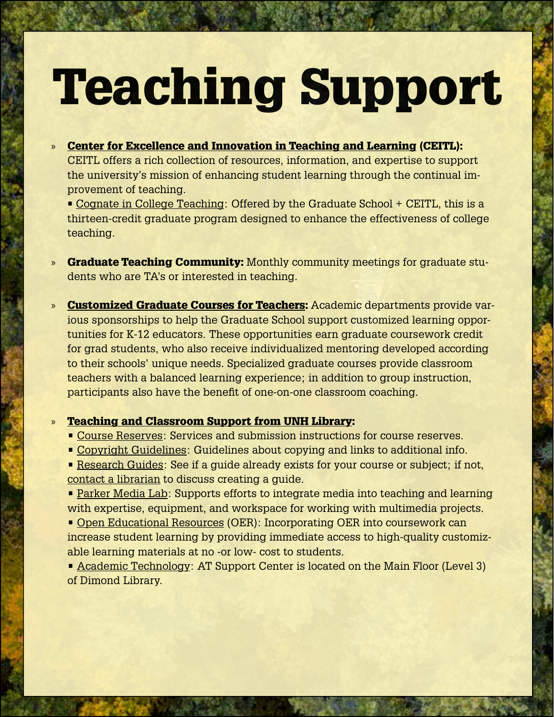# Teaching Support

- » [Center for Excellence and Innovation in Teaching and Learning](https://www.unh.edu/cetl) (CEITL): CEITL offers a rich collection of resources, information, and expertise to support the university's mission of enhancing student learning through the continual improvement of teaching.
	- [Cognate in College Teaching:](https://www.unh.edu/cetl/cognate) Offered by the Graduate School + CEITL, this is a thirteen-credit graduate program designed to enhance the effectiveness of college teaching.
- » Graduate Teaching Community: Monthly community meetings for graduate students who are TA's or interested in teaching.
- » [Customized Graduate Courses for Teachers](https://gradschool.unh.edu/academics/customized-graduate-courses-teachers): Academic departments provide various sponsorships to help the Graduate School support customized learning opportunities for K-12 educators. These opportunities earn graduate coursework credit for grad students, who also receive individualized mentoring developed according to their schools' unique needs. Specialized graduate courses provide classroom teachers with a balanced learning experience; in addition to group instruction, participants also have the benefit of one-on-one classroom coaching.

### » [Teaching and Classroom Support from UNH Library](https://www.library.unh.edu/graduate-students):

- • [Course Reserves:](https://www.library.unh.edu/find/course-reserves) Services and submission instructions for course reserves.
- • [Copyright Guidelines](https://www.library.unh.edu/faculty/reserves/copyright-guidelines): Guidelines about copying and links to additional info.
- • [Research Guides:](http://libraryguides.unh.edu/) See if a guide already exists for your course or subject; if not, [contact a librarian](https://www.library.unh.edu/research-support/ask-a-librarian) to discuss creating a guide.

• [Parker Media Lab](http://parkerlab.unh.edu/): Supports efforts to integrate media into teaching and learning with expertise, equipment, and workspace for working with multimedia projects.

• [Open Educational Resources](http://libraryguides.unh.edu/oer) (OER): Incorporating OER into coursework can increase student learning by providing immediate access to high-quality customizable learning materials at no -or low- cost to students.

• [Academic Technology](http://www.unh.edu/it/academic-technology): AT Support Center is located on the Main Floor (Level 3) of Dimond Library.